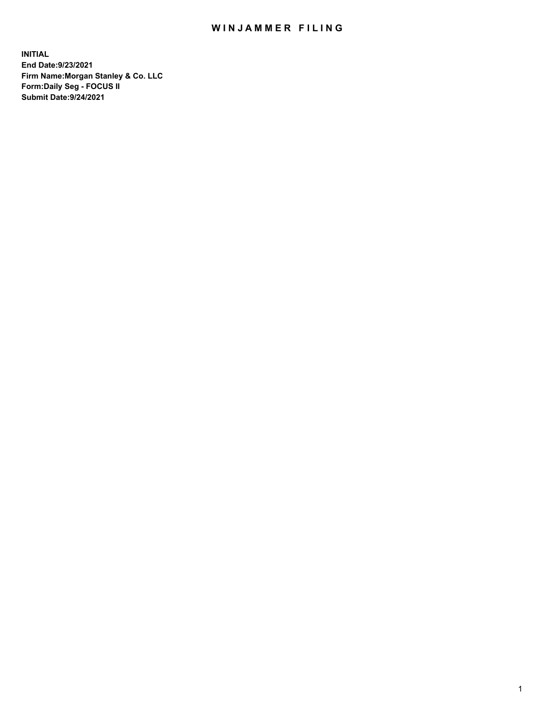## WIN JAMMER FILING

**INITIAL End Date:9/23/2021 Firm Name:Morgan Stanley & Co. LLC Form:Daily Seg - FOCUS II Submit Date:9/24/2021**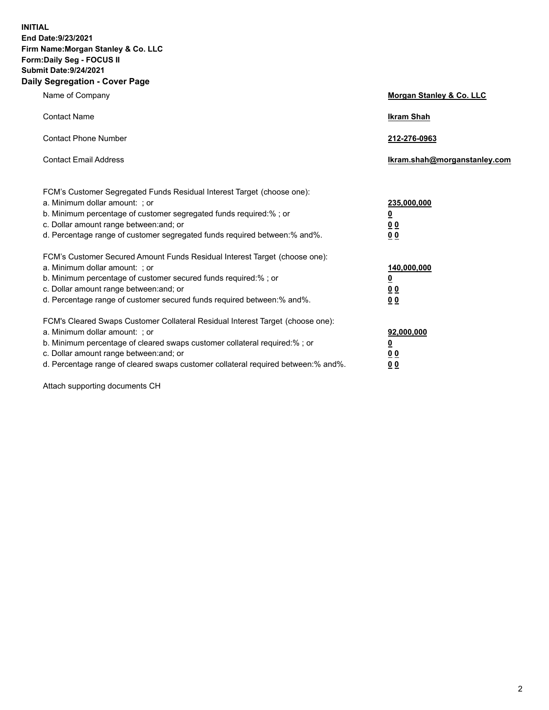**INITIAL End Date:9/23/2021 Firm Name:Morgan Stanley & Co. LLC Form:Daily Seg - FOCUS II Submit Date:9/24/2021 Daily Segregation - Cover Page**

| Name of Company                                                                                                                                                                                                                                                                                                                | Morgan Stanley & Co. LLC                                    |
|--------------------------------------------------------------------------------------------------------------------------------------------------------------------------------------------------------------------------------------------------------------------------------------------------------------------------------|-------------------------------------------------------------|
| <b>Contact Name</b>                                                                                                                                                                                                                                                                                                            | <b>Ikram Shah</b>                                           |
| <b>Contact Phone Number</b>                                                                                                                                                                                                                                                                                                    | 212-276-0963                                                |
| <b>Contact Email Address</b>                                                                                                                                                                                                                                                                                                   | lkram.shah@morganstanley.com                                |
| FCM's Customer Segregated Funds Residual Interest Target (choose one):<br>a. Minimum dollar amount: ; or<br>b. Minimum percentage of customer segregated funds required:% ; or<br>c. Dollar amount range between: and; or<br>d. Percentage range of customer segregated funds required between:% and%.                         | 235,000,000<br><u>0</u><br><u>00</u><br>0 <sub>0</sub>      |
| FCM's Customer Secured Amount Funds Residual Interest Target (choose one):<br>a. Minimum dollar amount: ; or<br>b. Minimum percentage of customer secured funds required:% ; or<br>c. Dollar amount range between: and; or<br>d. Percentage range of customer secured funds required between:% and%.                           | 140,000,000<br><u>0</u><br>0 <sub>0</sub><br>0 <sub>0</sub> |
| FCM's Cleared Swaps Customer Collateral Residual Interest Target (choose one):<br>a. Minimum dollar amount: ; or<br>b. Minimum percentage of cleared swaps customer collateral required:% ; or<br>c. Dollar amount range between: and; or<br>d. Percentage range of cleared swaps customer collateral required between:% and%. | 92,000,000<br><u>0</u><br><u>00</u><br>00                   |

Attach supporting documents CH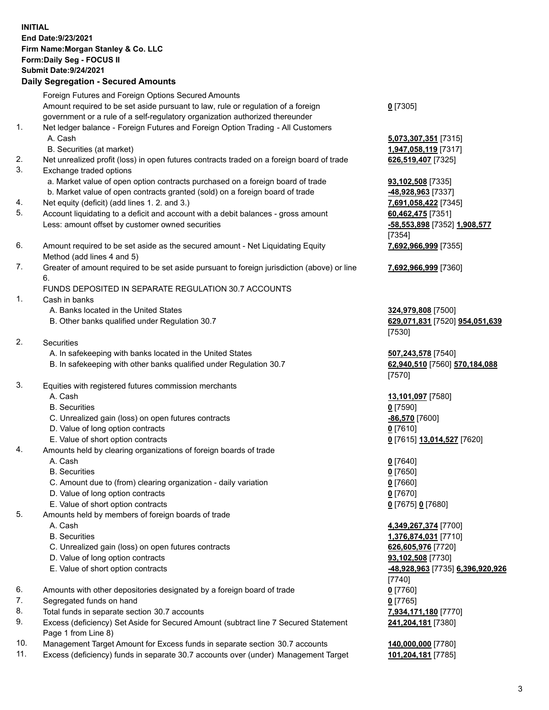## **INITIAL End Date:9/23/2021 Firm Name:Morgan Stanley & Co. LLC Form:Daily Seg - FOCUS II Submit Date:9/24/2021**

## **Daily Segregation - Secured Amounts**

Foreign Futures and Foreign Options Secured Amounts Amount required to be set aside pursuant to law, rule or regulation of a foreign government or a rule of a self-regulatory organization authorized thereunder 1. Net ledger balance - Foreign Futures and Foreign Option Trading - All Customers A. Cash **5,073,307,351** [7315] B. Securities (at market) **1,947,058,119** [7317] 2. Net unrealized profit (loss) in open futures contracts traded on a foreign board of trade **626,519,407** [7325] 3. Exchange traded options a. Market value of open option contracts purchased on a foreign board of trade **93,102,508** [7335] b. Market value of open contracts granted (sold) on a foreign board of trade **-48,928,963** [7337] 4. Net equity (deficit) (add lines 1. 2. and 3.) **7,691,058,422** [7345] 5. Account liquidating to a deficit and account with a debit balances - gross amount **60,462,475** [7351] Less: amount offset by customer owned securities **-58,553,898** [7352] **1,908,577** 6. Amount required to be set aside as the secured amount - Net Liquidating Equity Method (add lines 4 and 5) 7. Greater of amount required to be set aside pursuant to foreign jurisdiction (above) or line 6. FUNDS DEPOSITED IN SEPARATE REGULATION 30.7 ACCOUNTS 1. Cash in banks A. Banks located in the United States **324,979,808** [7500] B. Other banks qualified under Regulation 30.7 **629,071,831** [7520] **954,051,639** 2. Securities A. In safekeeping with banks located in the United States **507,243,578** [7540] B. In safekeeping with other banks qualified under Regulation 30.7 **62,940,510** [7560] **570,184,088** 3. Equities with registered futures commission merchants A. Cash **13,101,097** [7580] B. Securities **0** [7590]

- C. Unrealized gain (loss) on open futures contracts **-86,570** [7600]
- D. Value of long option contracts **0** [7610]
- E. Value of short option contracts **0** [7615] **13,014,527** [7620]
- 4. Amounts held by clearing organizations of foreign boards of trade
	-
	- B. Securities **0** [7650]
	- C. Amount due to (from) clearing organization daily variation **0** [7660]
	- D. Value of long option contracts **0** [7670]
	- E. Value of short option contracts **0** [7675] **0** [7680]
- 5. Amounts held by members of foreign boards of trade
	-
	-
	- C. Unrealized gain (loss) on open futures contracts **626,605,976** [7720]
	- D. Value of long option contracts **93,102,508** [7730]
	-
- 6. Amounts with other depositories designated by a foreign board of trade **0** [7760]
- 7. Segregated funds on hand **0** [7765]
- 8. Total funds in separate section 30.7 accounts **7,934,171,180** [7770]
- 9. Excess (deficiency) Set Aside for Secured Amount (subtract line 7 Secured Statement Page 1 from Line 8)
- 10. Management Target Amount for Excess funds in separate section 30.7 accounts **140,000,000** [7780]
- 11. Excess (deficiency) funds in separate 30.7 accounts over (under) Management Target **101,204,181** [7785]

**0** [7305]

[7354] **7,692,966,999** [7355]

**7,692,966,999** [7360]

[7530]

[7570]

A. Cash **0** [7640]

 A. Cash **4,349,267,374** [7700] B. Securities **1,376,874,031** [7710] E. Value of short option contracts **-48,928,963** [7735] **6,396,920,926** [7740] **241,204,181** [7380]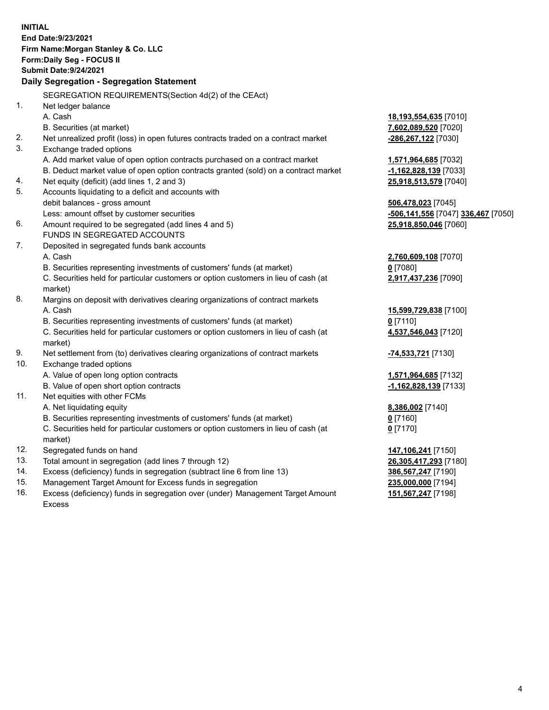**INITIAL End Date:9/23/2021 Firm Name:Morgan Stanley & Co. LLC Form:Daily Seg - FOCUS II Submit Date:9/24/2021 Daily Segregation - Segregation Statement** SEGREGATION REQUIREMENTS(Section 4d(2) of the CEAct) 1. Net ledger balance A. Cash **18,193,554,635** [7010] B. Securities (at market) **7,602,089,520** [7020] 2. Net unrealized profit (loss) in open futures contracts traded on a contract market **-286,267,122** [7030] 3. Exchange traded options A. Add market value of open option contracts purchased on a contract market **1,571,964,685** [7032] B. Deduct market value of open option contracts granted (sold) on a contract market **-1,162,828,139** [7033] 4. Net equity (deficit) (add lines 1, 2 and 3) **25,918,513,579** [7040] 5. Accounts liquidating to a deficit and accounts with debit balances - gross amount **506,478,023** [7045] Less: amount offset by customer securities **-506,141,556** [7047] **336,467** [7050] 6. Amount required to be segregated (add lines 4 and 5) **25,918,850,046** [7060] FUNDS IN SEGREGATED ACCOUNTS 7. Deposited in segregated funds bank accounts A. Cash **2,760,609,108** [7070] B. Securities representing investments of customers' funds (at market) **0** [7080] C. Securities held for particular customers or option customers in lieu of cash (at market) **2,917,437,236** [7090] 8. Margins on deposit with derivatives clearing organizations of contract markets A. Cash **15,599,729,838** [7100] B. Securities representing investments of customers' funds (at market) **0** [7110] C. Securities held for particular customers or option customers in lieu of cash (at market) **4,537,546,043** [7120] 9. Net settlement from (to) derivatives clearing organizations of contract markets **-74,533,721** [7130] 10. Exchange traded options A. Value of open long option contracts **1,571,964,685** [7132] B. Value of open short option contracts **-1,162,828,139** [7133] 11. Net equities with other FCMs A. Net liquidating equity **8,386,002** [7140] B. Securities representing investments of customers' funds (at market) **0** [7160] C. Securities held for particular customers or option customers in lieu of cash (at market) **0** [7170] 12. Segregated funds on hand **147,106,241** [7150] 13. Total amount in segregation (add lines 7 through 12) **26,305,417,293** [7180] 14. Excess (deficiency) funds in segregation (subtract line 6 from line 13) **386,567,247** [7190] 15. Management Target Amount for Excess funds in segregation **235,000,000** [7194] **151,567,247** [7198]

16. Excess (deficiency) funds in segregation over (under) Management Target Amount Excess